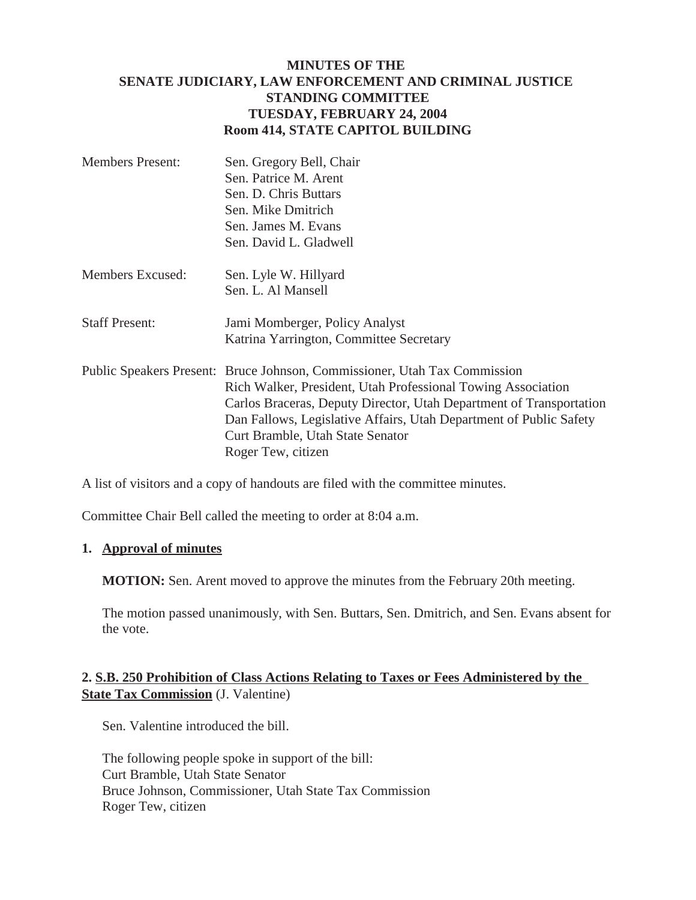## **MINUTES OF THE SENATE JUDICIARY, LAW ENFORCEMENT AND CRIMINAL JUSTICE STANDING COMMITTEE TUESDAY, FEBRUARY 24, 2004 Room 414, STATE CAPITOL BUILDING**

| <b>Members Present:</b> | Sen. Gregory Bell, Chair |
|-------------------------|--------------------------|
|                         | Sen. Patrice M. Arent    |
|                         | Sen. D. Chris Buttars    |
|                         | Sen. Mike Dmitrich       |
|                         | Sen. James M. Evans      |
|                         | Sen. David L. Gladwell   |
|                         |                          |

- Members Excused: Sen. Lyle W. Hillyard Sen. L. Al Mansell
- Staff Present: Jami Momberger, Policy Analyst Katrina Yarrington, Committee Secretary
- Public Speakers Present: Bruce Johnson, Commissioner, Utah Tax Commission Rich Walker, President, Utah Professional Towing Association Carlos Braceras, Deputy Director, Utah Department of Transportation Dan Fallows, Legislative Affairs, Utah Department of Public Safety Curt Bramble, Utah State Senator Roger Tew, citizen

A list of visitors and a copy of handouts are filed with the committee minutes.

Committee Chair Bell called the meeting to order at 8:04 a.m.

## **1. Approval of minutes**

**MOTION:** Sen. Arent moved to approve the minutes from the February 20th meeting.

The motion passed unanimously, with Sen. Buttars, Sen. Dmitrich, and Sen. Evans absent for the vote.

## **2. S.B. 250 Prohibition of Class Actions Relating to Taxes or Fees Administered by the State Tax Commission** (J. Valentine)

Sen. Valentine introduced the bill.

The following people spoke in support of the bill: Curt Bramble, Utah State Senator Bruce Johnson, Commissioner, Utah State Tax Commission Roger Tew, citizen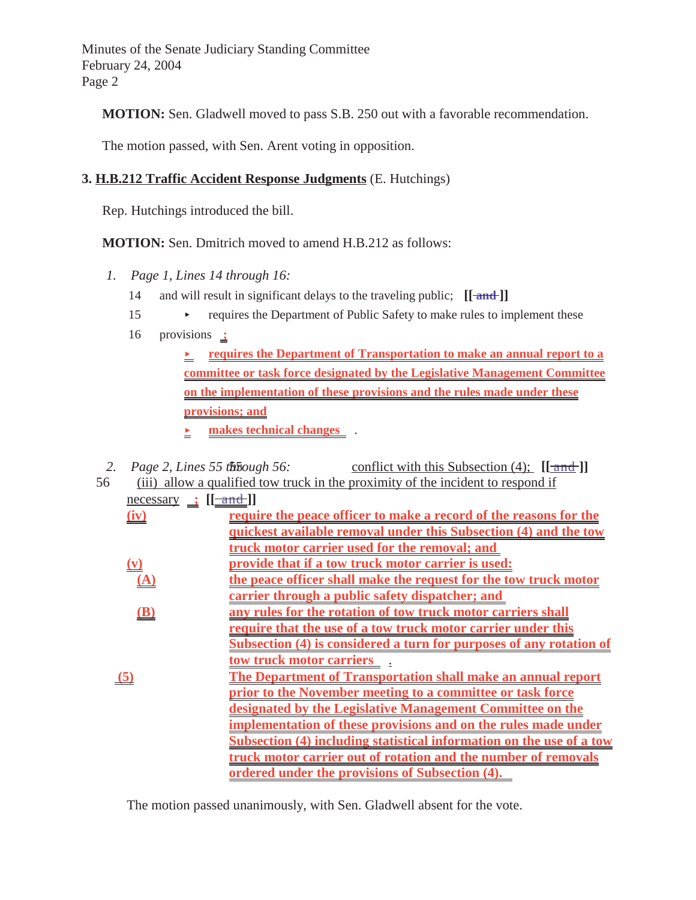Minutes of the Senate Judiciary Standing Committee February 24, 2004 Page 2

**MOTION:** Sen. Gladwell moved to pass S.B. 250 out with a favorable recommendation.

The motion passed, with Sen. Arent voting in opposition.

## **3. H.B.212 Traffic Accident Response Judgments** (E. Hutchings)

Rep. Hutchings introduced the bill.

**MOTION:** Sen. Dmitrich moved to amend H.B.212 as follows:

- *1. Page 1, Lines 14 through 16:*
	- 14 and will result in significant delays to the traveling public;  $[[ \text{and} ]]$
	- 15 requires the Department of Public Safety to make rules to implement these
	- 16 provisions **;**

**<u>***<u>requires the Department of Transportation to make an annual report to a*</u></u> **committee or task force designated by the Legislative Management Committee on the implementation of these provisions and the rules made under these provisions; and**

- **<u>E** makes technical changes and  $\overline{B}$ .</u>
- 2. Page 2, Lines 55 the *50* state of  $\frac{1}{2}$  conflict with this Subsection (4);  $[\frac{1}{2}$
- 56 (iii) allow a qualified tow truck in the proximity of the incident to respond if  $\frac{\text{necessary}}{\text{if} \pm \text{and}}$

|                | require the peace officer to make a record of the reasons for the    |
|----------------|----------------------------------------------------------------------|
|                | quickest available removal under this Subsection (4) and the tow     |
|                | truck motor carrier used for the removal; and                        |
| $(\mathbf{v})$ | provide that if a tow truck motor carrier is used:                   |
| (A)            | the peace officer shall make the request for the tow truck motor     |
|                | carrier through a public safety dispatcher; and                      |
| $(\mathbf{B})$ | any rules for the rotation of tow truck motor carriers shall         |
|                | require that the use of a tow truck motor carrier under this         |
|                | Subsection (4) is considered a turn for purposes of any rotation of  |
|                | tow truck motor carriers                                             |
| (5)            | The Department of Transportation shall make an annual report         |
|                | prior to the November meeting to a committee or task force           |
|                | designated by the Legislative Management Committee on the            |
|                | implementation of these provisions and on the rules made under       |
|                | Subsection (4) including statistical information on the use of a tow |
|                | truck motor carrier out of rotation and the number of removals       |
|                | <u>ordered under the provisions of Subsection (4).</u>               |
|                |                                                                      |

The motion passed unanimously, with Sen. Gladwell absent for the vote.